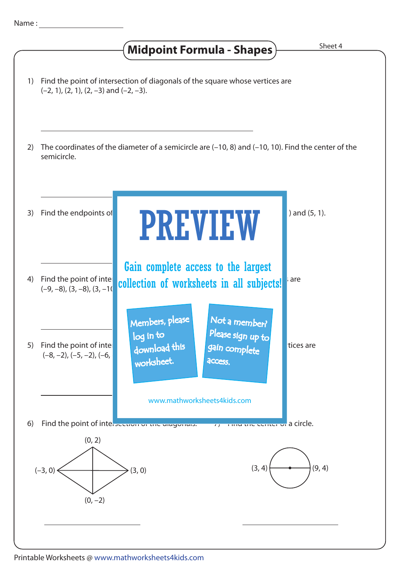